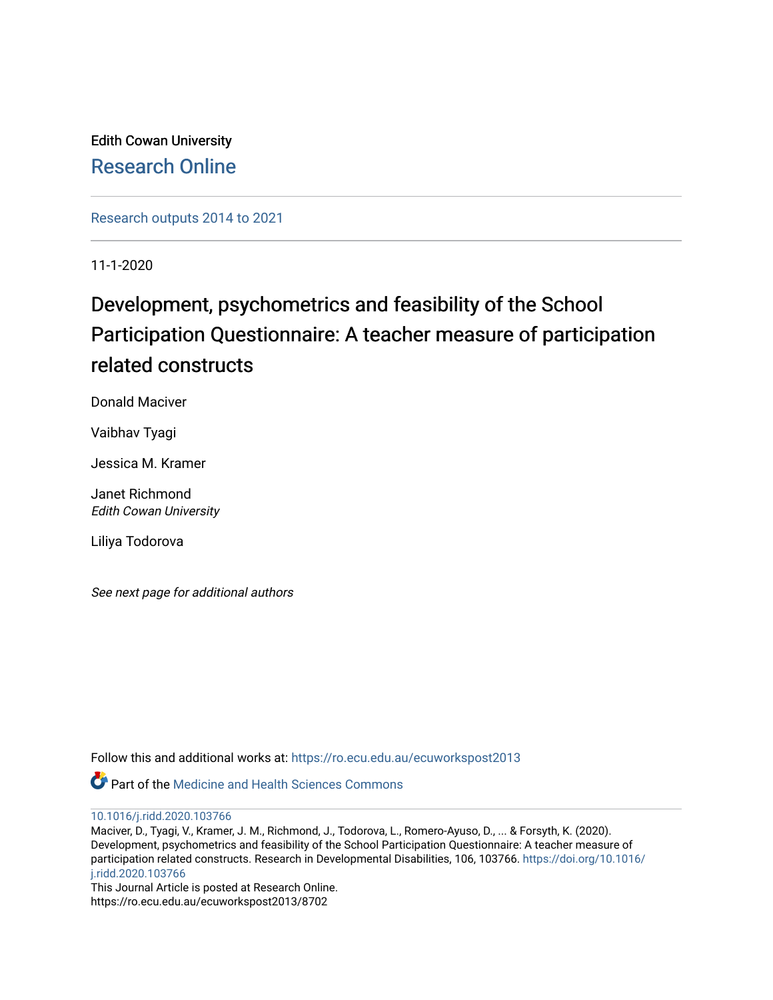Edith Cowan University [Research Online](https://ro.ecu.edu.au/) 

[Research outputs 2014 to 2021](https://ro.ecu.edu.au/ecuworkspost2013) 

11-1-2020

# Development, psychometrics and feasibility of the School Participation Questionnaire: A teacher measure of participation related constructs

Donald Maciver

Vaibhav Tyagi

Jessica M. Kramer

Janet Richmond Edith Cowan University

Liliya Todorova

See next page for additional authors

Follow this and additional works at: [https://ro.ecu.edu.au/ecuworkspost2013](https://ro.ecu.edu.au/ecuworkspost2013?utm_source=ro.ecu.edu.au%2Fecuworkspost2013%2F8702&utm_medium=PDF&utm_campaign=PDFCoverPages) 

**Part of the Medicine and Health Sciences Commons** 

[10.1016/j.ridd.2020.103766](http://dx.doi.org/10.1016/j.ridd.2020.103766) 

Maciver, D., Tyagi, V., Kramer, J. M., Richmond, J., Todorova, L., Romero-Ayuso, D., ... & Forsyth, K. (2020). Development, psychometrics and feasibility of the School Participation Questionnaire: A teacher measure of participation related constructs. Research in Developmental Disabilities, 106, 103766. [https://doi.org/10.1016/](https://doi.org/10.1016/j.ridd.2020.103766) [j.ridd.2020.103766](https://doi.org/10.1016/j.ridd.2020.103766)

This Journal Article is posted at Research Online. https://ro.ecu.edu.au/ecuworkspost2013/8702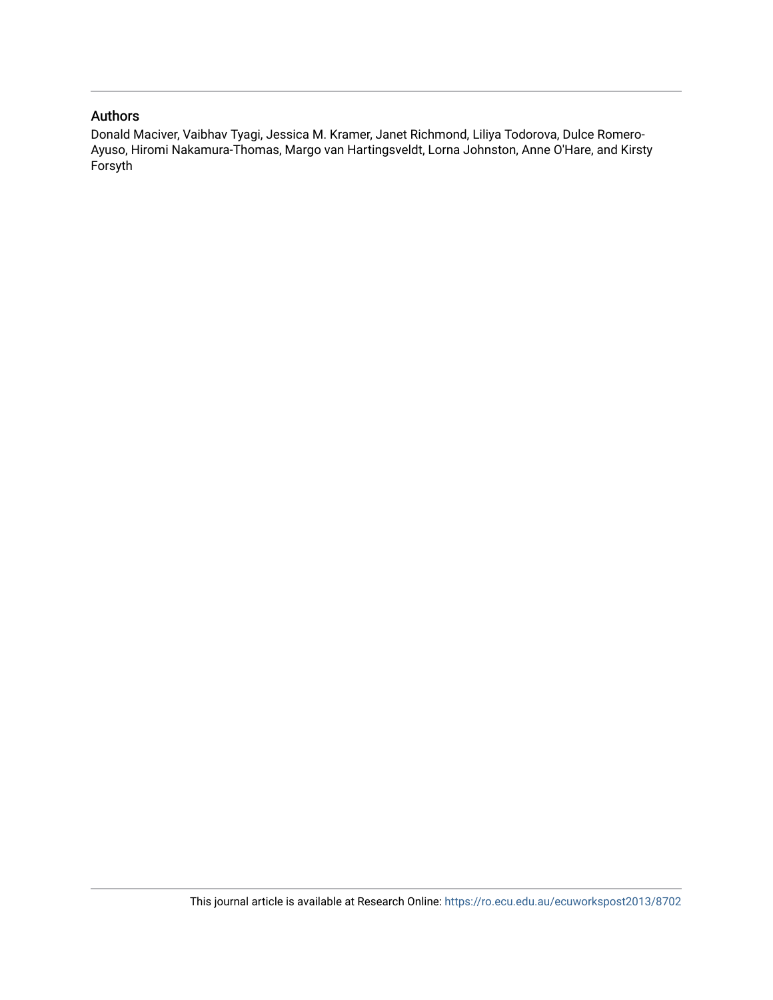### Authors

Donald Maciver, Vaibhav Tyagi, Jessica M. Kramer, Janet Richmond, Liliya Todorova, Dulce Romero-Ayuso, Hiromi Nakamura-Thomas, Margo van Hartingsveldt, Lorna Johnston, Anne O'Hare, and Kirsty Forsyth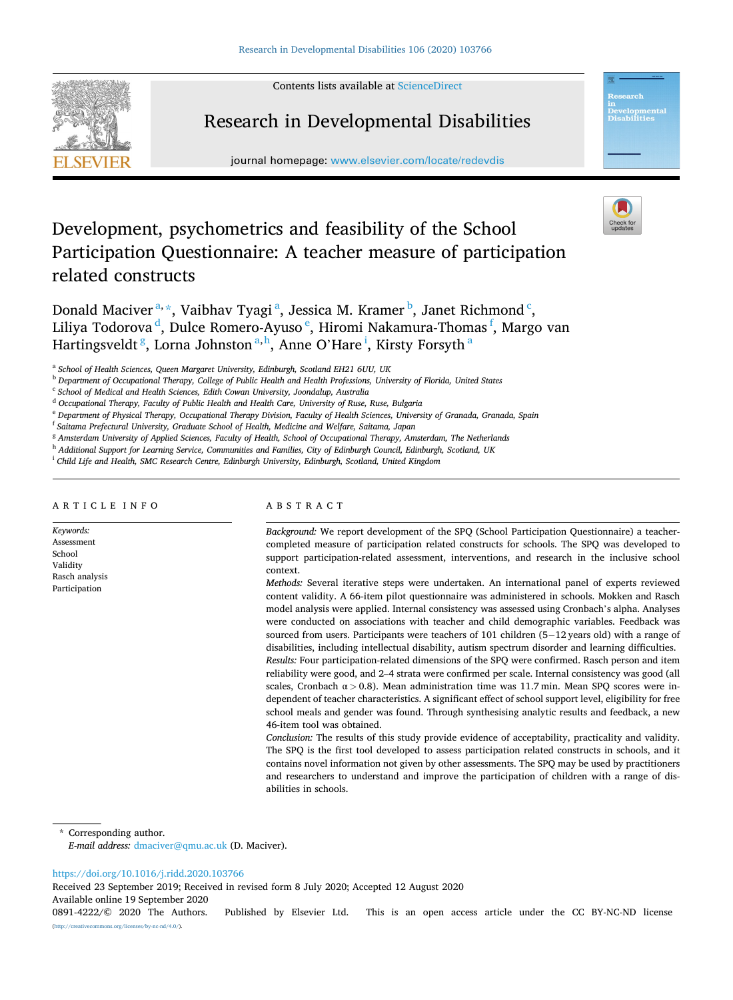Contents lists available at [ScienceDirect](www.sciencedirect.com/science/journal/08914222)



## Research in Developmental Disabilities

journal homepage: [www.elsevier.com/locate/redevdis](https://www.elsevier.com/locate/redevdis) 



velopmental<br>sabilities

## Development, psychometrics and feasibility of the School Participation Questionnaire: A teacher measure of participation related constructs

Donald Maciver<sup>a,\*</sup>, Vaibhav Tyagi<sup>a</sup>, Jessica M. Kramer<sup>b</sup>, Janet Richmond<sup>c</sup>, Liliya Todorova <sup>d</sup>, Dulce Romero-Ayuso <sup>e</sup>, Hiromi Nakamura-Thomas <sup>f</sup>, Margo van Hartingsveldt <sup>g</sup>, Lorna Johnston <sup>a,h</sup>, Anne O'Hare <sup>i</sup>, Kirsty Forsyth <sup>a</sup>

<sup>b</sup> *Department of Occupational Therapy, College of Public Health and Health Professions, University of Florida, United States* 

<sup>d</sup> *Occupational Therapy, Faculty of Public Health and Health Care, University of Ruse, Ruse, Bulgaria* 

<sup>e</sup> *Department of Physical Therapy, Occupational Therapy Division, Faculty of Health Sciences, University of Granada, Granada, Spain* 

<sup>f</sup> *Saitama Prefectural University, Graduate School of Health, Medicine and Welfare, Saitama, Japan* 

<sup>g</sup> *Amsterdam University of Applied Sciences, Faculty of Health, School of Occupational Therapy, Amsterdam, The Netherlands* 

<sup>h</sup> *Additional Support for Learning Service, Communities and Families, City of Edinburgh Council, Edinburgh, Scotland, UK* 

<sup>i</sup> *Child Life and Health, SMC Research Centre, Edinburgh University, Edinburgh, Scotland, United Kingdom* 

#### ARTICLE INFO

*Keywords:*  Assessment School Validity Rasch analysis Participation

#### ABSTRACT

*Background:* We report development of the SPQ (School Participation Questionnaire) a teachercompleted measure of participation related constructs for schools. The SPQ was developed to support participation-related assessment, interventions, and research in the inclusive school context.

*Methods:* Several iterative steps were undertaken. An international panel of experts reviewed content validity. A 66-item pilot questionnaire was administered in schools. Mokken and Rasch model analysis were applied. Internal consistency was assessed using Cronbach's alpha. Analyses were conducted on associations with teacher and child demographic variables. Feedback was sourced from users. Participants were teachers of 101 children (5–12 years old) with a range of disabilities, including intellectual disability, autism spectrum disorder and learning difficulties. *Results:* Four participation-related dimensions of the SPQ were confirmed. Rasch person and item

reliability were good, and 2–4 strata were confirmed per scale. Internal consistency was good (all scales, Cronbach  $\alpha$  > 0.8). Mean administration time was 11.7 min. Mean SPQ scores were independent of teacher characteristics. A significant effect of school support level, eligibility for free school meals and gender was found. Through synthesising analytic results and feedback, a new 46-item tool was obtained.

*Conclusion:* The results of this study provide evidence of acceptability, practicality and validity. The SPQ is the first tool developed to assess participation related constructs in schools, and it contains novel information not given by other assessments. The SPQ may be used by practitioners and researchers to understand and improve the participation of children with a range of disabilities in schools.

Corresponding author.

*E-mail address:* [dmaciver@qmu.ac.uk](mailto:dmaciver@qmu.ac.uk) (D. Maciver).

#### <https://doi.org/10.1016/j.ridd.2020.103766>

Received 23 September 2019; Received in revised form 8 July 2020; Accepted 12 August 2020

Available online 19 September 2020

0891-4222/© 2020 The Authors. Published by Elsevier Ltd. This is an open access article under the CC BY-NC-ND license [\(http://creativecommons.org/licenses/by-nc-nd/4.0/\)](http://creativecommons.org/licenses/by-nc-nd/4.0/).

<sup>a</sup> *School of Health Sciences, Queen Margaret University, Edinburgh, Scotland EH21 6UU, UK* 

<sup>c</sup> *School of Medical and Health Sciences, Edith Cowan University, Joondalup, Australia*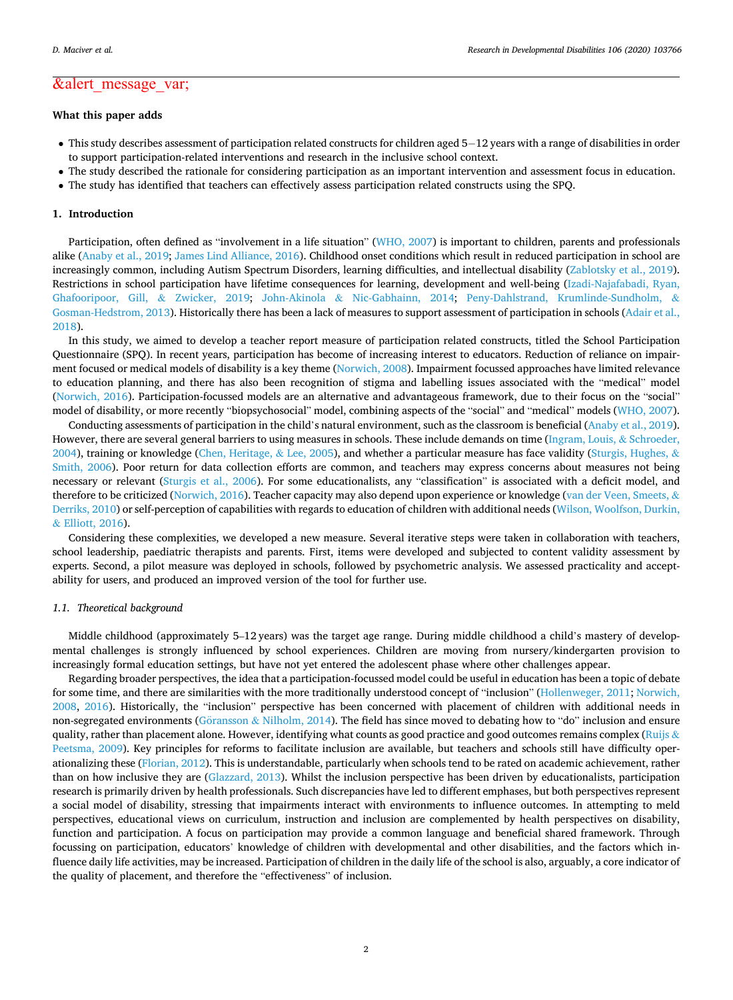## &alert\_message\_var;

### **What this paper adds**

- This study describes assessment of participation related constructs for children aged 5− 12 years with a range of disabilities in order to support participation-related interventions and research in the inclusive school context.
- The study described the rationale for considering participation as an important intervention and assessment focus in education.
- The study has identified that teachers can effectively assess participation related constructs using the SPQ.

#### **1. Introduction**

Participation, often defined as "involvement in a life situation" ([WHO, 2007](#page-12-0)) is important to children, parents and professionals alike [\(Anaby et al., 2019; James Lind Alliance, 2016\)](#page-12-0). Childhood onset conditions which result in reduced participation in school are increasingly common, including Autism Spectrum Disorders, learning difficulties, and intellectual disability ([Zablotsky et al., 2019](#page-13-0)). Restrictions in school participation have lifetime consequences for learning, development and well-being ([Izadi-Najafabadi, Ryan,](#page-12-0) [Ghafooripoor, Gill,](#page-12-0) & Zwicker, 2019; John-Akinola & [Nic-Gabhainn, 2014;](#page-12-0) [Peny-Dahlstrand, Krumlinde-Sundholm,](#page-12-0) & [Gosman-Hedstrom, 2013](#page-12-0)). Historically there has been a lack of measures to support assessment of participation in schools ([Adair et al.,](#page-11-0) [2018\)](#page-11-0).

In this study, we aimed to develop a teacher report measure of participation related constructs, titled the School Participation Questionnaire (SPQ). In recent years, participation has become of increasing interest to educators. Reduction of reliance on impair-ment focused or medical models of disability is a key theme [\(Norwich, 2008](#page-12-0)). Impairment focussed approaches have limited relevance to education planning, and there has also been recognition of stigma and labelling issues associated with the "medical" model [\(Norwich, 2016\)](#page-12-0). Participation-focussed models are an alternative and advantageous framework, due to their focus on the "social" model of disability, or more recently "biopsychosocial" model, combining aspects of the "social" and "medical" models ([WHO, 2007](#page-12-0)).

Conducting assessments of participation in the child's natural environment, such as the classroom is beneficial ([Anaby et al., 2019](#page-12-0)). However, there are several general barriers to using measures in schools. These include demands on time ([Ingram, Louis,](#page-12-0) & Schroeder, [2004\)](#page-12-0), training or knowledge ([Chen, Heritage,](#page-12-0) & Lee, 2005), and whether a particular measure has face validity ([Sturgis, Hughes,](#page-12-0) & [Smith, 2006](#page-12-0)). Poor return for data collection efforts are common, and teachers may express concerns about measures not being necessary or relevant [\(Sturgis et al., 2006\)](#page-12-0). For some educationalists, any "classification" is associated with a deficit model, and therefore to be criticized [\(Norwich, 2016](#page-12-0)). Teacher capacity may also depend upon experience or knowledge ([van der Veen, Smeets,](#page-12-0) & [Derriks, 2010](#page-12-0)) or self-perception of capabilities with regards to education of children with additional needs ([Wilson, Woolfson, Durkin,](#page-13-0) & [Elliott, 2016\)](#page-13-0).

Considering these complexities, we developed a new measure. Several iterative steps were taken in collaboration with teachers, school leadership, paediatric therapists and parents. First, items were developed and subjected to content validity assessment by experts. Second, a pilot measure was deployed in schools, followed by psychometric analysis. We assessed practicality and acceptability for users, and produced an improved version of the tool for further use.

#### *1.1. Theoretical background*

Middle childhood (approximately 5–12 years) was the target age range. During middle childhood a child's mastery of developmental challenges is strongly influenced by school experiences. Children are moving from nursery/kindergarten provision to increasingly formal education settings, but have not yet entered the adolescent phase where other challenges appear.

Regarding broader perspectives, the idea that a participation-focussed model could be useful in education has been a topic of debate for some time, and there are similarities with the more traditionally understood concept of "inclusion" ([Hollenweger, 2011; Norwich,](#page-12-0) [2008,](#page-12-0) [2016\)](#page-12-0). Historically, the "inclusion" perspective has been concerned with placement of children with additional needs in non-segregated environments (Göransson & [Nilholm, 2014](#page-12-0)). The field has since moved to debating how to "do" inclusion and ensure quality, rather than placement alone. However, identifying what counts as good practice and good outcomes remains complex ([Ruijs](#page-12-0)  $\&$ [Peetsma, 2009](#page-12-0)). Key principles for reforms to facilitate inclusion are available, but teachers and schools still have difficulty oper-ationalizing these [\(Florian, 2012\)](#page-12-0). This is understandable, particularly when schools tend to be rated on academic achievement, rather than on how inclusive they are ([Glazzard, 2013\)](#page-12-0). Whilst the inclusion perspective has been driven by educationalists, participation research is primarily driven by health professionals. Such discrepancies have led to different emphases, but both perspectives represent a social model of disability, stressing that impairments interact with environments to influence outcomes. In attempting to meld perspectives, educational views on curriculum, instruction and inclusion are complemented by health perspectives on disability, function and participation. A focus on participation may provide a common language and beneficial shared framework. Through focussing on participation, educators' knowledge of children with developmental and other disabilities, and the factors which influence daily life activities, may be increased. Participation of children in the daily life of the school is also, arguably, a core indicator of the quality of placement, and therefore the "effectiveness" of inclusion.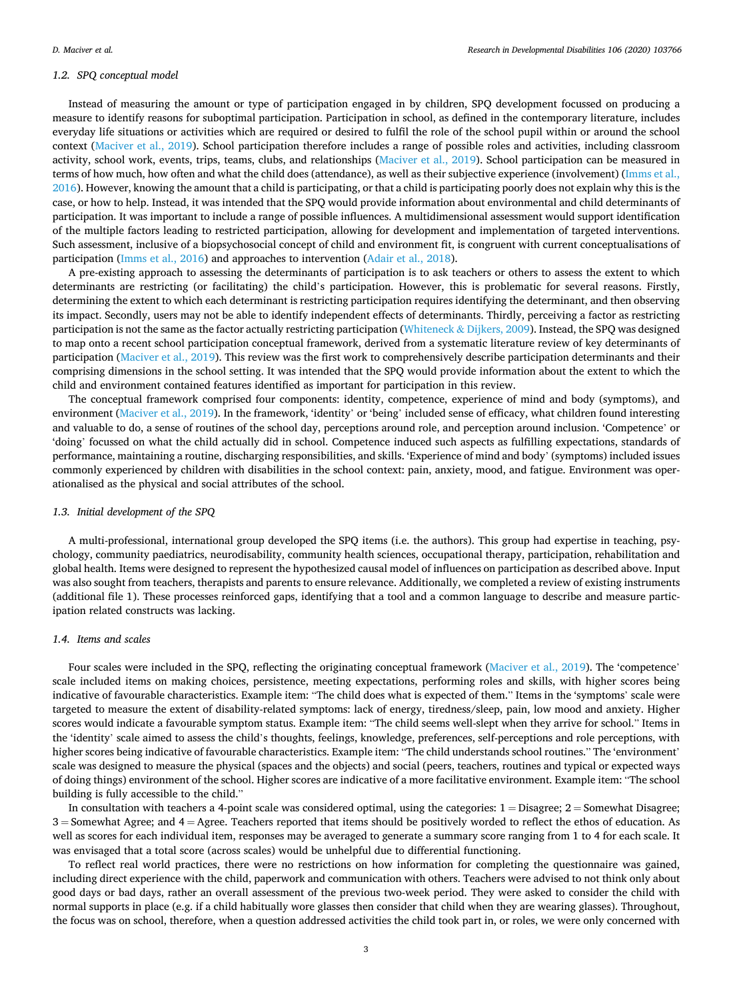#### *1.2. SPQ conceptual model*

Instead of measuring the amount or type of participation engaged in by children, SPQ development focussed on producing a measure to identify reasons for suboptimal participation. Participation in school, as defined in the contemporary literature, includes everyday life situations or activities which are required or desired to fulfil the role of the school pupil within or around the school context ([Maciver et al., 2019\)](#page-12-0). School participation therefore includes a range of possible roles and activities, including classroom activity, school work, events, trips, teams, clubs, and relationships ([Maciver et al., 2019\)](#page-12-0). School participation can be measured in terms of how much, how often and what the child does (attendance), as well as their subjective experience (involvement) ([Imms et al.,](#page-12-0) [2016\)](#page-12-0). However, knowing the amount that a child is participating, or that a child is participating poorly does not explain why this is the case, or how to help. Instead, it was intended that the SPQ would provide information about environmental and child determinants of participation. It was important to include a range of possible influences. A multidimensional assessment would support identification of the multiple factors leading to restricted participation, allowing for development and implementation of targeted interventions. Such assessment, inclusive of a biopsychosocial concept of child and environment fit, is congruent with current conceptualisations of participation ([Imms et al., 2016\)](#page-12-0) and approaches to intervention ([Adair et al., 2018\)](#page-11-0).

A pre-existing approach to assessing the determinants of participation is to ask teachers or others to assess the extent to which determinants are restricting (or facilitating) the child's participation. However, this is problematic for several reasons. Firstly, determining the extent to which each determinant is restricting participation requires identifying the determinant, and then observing its impact. Secondly, users may not be able to identify independent effects of determinants. Thirdly, perceiving a factor as restricting participation is not the same as the factor actually restricting participation (Whiteneck & [Dijkers, 2009\)](#page-12-0). Instead, the SPQ was designed to map onto a recent school participation conceptual framework, derived from a systematic literature review of key determinants of participation ([Maciver et al., 2019\)](#page-12-0). This review was the first work to comprehensively describe participation determinants and their comprising dimensions in the school setting. It was intended that the SPQ would provide information about the extent to which the child and environment contained features identified as important for participation in this review.

The conceptual framework comprised four components: identity, competence, experience of mind and body (symptoms), and environment ([Maciver et al., 2019\)](#page-12-0). In the framework, 'identity' or 'being' included sense of efficacy, what children found interesting and valuable to do, a sense of routines of the school day, perceptions around role, and perception around inclusion. 'Competence' or 'doing' focussed on what the child actually did in school. Competence induced such aspects as fulfilling expectations, standards of performance, maintaining a routine, discharging responsibilities, and skills. 'Experience of mind and body' (symptoms) included issues commonly experienced by children with disabilities in the school context: pain, anxiety, mood, and fatigue. Environment was operationalised as the physical and social attributes of the school.

#### *1.3. Initial development of the SPQ*

A multi-professional, international group developed the SPQ items (i.e. the authors). This group had expertise in teaching, psychology, community paediatrics, neurodisability, community health sciences, occupational therapy, participation, rehabilitation and global health. Items were designed to represent the hypothesized causal model of influences on participation as described above. Input was also sought from teachers, therapists and parents to ensure relevance. Additionally, we completed a review of existing instruments (additional file 1). These processes reinforced gaps, identifying that a tool and a common language to describe and measure participation related constructs was lacking.

#### *1.4. Items and scales*

Four scales were included in the SPQ, reflecting the originating conceptual framework ([Maciver et al., 2019](#page-12-0)). The 'competence' scale included items on making choices, persistence, meeting expectations, performing roles and skills, with higher scores being indicative of favourable characteristics. Example item: "The child does what is expected of them." Items in the 'symptoms' scale were targeted to measure the extent of disability-related symptoms: lack of energy, tiredness/sleep, pain, low mood and anxiety. Higher scores would indicate a favourable symptom status. Example item: "The child seems well-slept when they arrive for school." Items in the 'identity' scale aimed to assess the child's thoughts, feelings, knowledge, preferences, self-perceptions and role perceptions, with higher scores being indicative of favourable characteristics. Example item: "The child understands school routines." The 'environment' scale was designed to measure the physical (spaces and the objects) and social (peers, teachers, routines and typical or expected ways of doing things) environment of the school. Higher scores are indicative of a more facilitative environment. Example item: "The school building is fully accessible to the child."

In consultation with teachers a 4-point scale was considered optimal, using the categories:  $1 =$  Disagree;  $2 =$  Somewhat Disagree; 3 = Somewhat Agree; and 4 = Agree. Teachers reported that items should be positively worded to reflect the ethos of education. As well as scores for each individual item, responses may be averaged to generate a summary score ranging from 1 to 4 for each scale. It was envisaged that a total score (across scales) would be unhelpful due to differential functioning.

To reflect real world practices, there were no restrictions on how information for completing the questionnaire was gained, including direct experience with the child, paperwork and communication with others. Teachers were advised to not think only about good days or bad days, rather an overall assessment of the previous two-week period. They were asked to consider the child with normal supports in place (e.g. if a child habitually wore glasses then consider that child when they are wearing glasses). Throughout, the focus was on school, therefore, when a question addressed activities the child took part in, or roles, we were only concerned with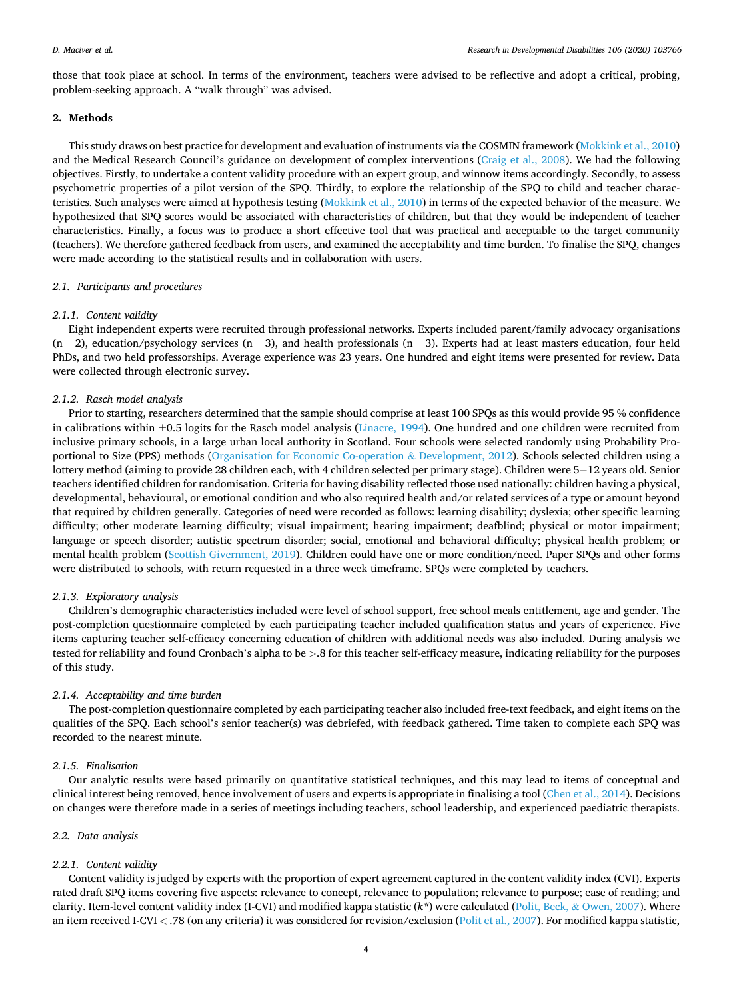those that took place at school. In terms of the environment, teachers were advised to be reflective and adopt a critical, probing, problem-seeking approach. A "walk through" was advised.

#### **2. Methods**

This study draws on best practice for development and evaluation of instruments via the COSMIN framework ([Mokkink et al., 2010](#page-12-0)) and the Medical Research Council's guidance on development of complex interventions ([Craig et al., 2008](#page-12-0)). We had the following objectives. Firstly, to undertake a content validity procedure with an expert group, and winnow items accordingly. Secondly, to assess psychometric properties of a pilot version of the SPQ. Thirdly, to explore the relationship of the SPQ to child and teacher characteristics. Such analyses were aimed at hypothesis testing [\(Mokkink et al., 2010\)](#page-12-0) in terms of the expected behavior of the measure. We hypothesized that SPQ scores would be associated with characteristics of children, but that they would be independent of teacher characteristics. Finally, a focus was to produce a short effective tool that was practical and acceptable to the target community (teachers). We therefore gathered feedback from users, and examined the acceptability and time burden. To finalise the SPQ, changes were made according to the statistical results and in collaboration with users.

#### *2.1. Participants and procedures*

#### *2.1.1. Content validity*

Eight independent experts were recruited through professional networks. Experts included parent/family advocacy organisations  $(n = 2)$ , education/psychology services  $(n = 3)$ , and health professionals  $(n = 3)$ . Experts had at least masters education, four held PhDs, and two held professorships. Average experience was 23 years. One hundred and eight items were presented for review. Data were collected through electronic survey.

#### *2.1.2. Rasch model analysis*

Prior to starting, researchers determined that the sample should comprise at least 100 SPQs as this would provide 95 % confidence in calibrations within  $\pm$ 0.5 logits for the Rasch model analysis ([Linacre, 1994](#page-12-0)). One hundred and one children were recruited from inclusive primary schools, in a large urban local authority in Scotland. Four schools were selected randomly using Probability Proportional to Size (PPS) methods [\(Organisation for Economic Co-operation](#page-12-0) & Development, 2012). Schools selected children using a lottery method (aiming to provide 28 children each, with 4 children selected per primary stage). Children were 5− 12 years old. Senior teachers identified children for randomisation. Criteria for having disability reflected those used nationally: children having a physical, developmental, behavioural, or emotional condition and who also required health and/or related services of a type or amount beyond that required by children generally. Categories of need were recorded as follows: learning disability; dyslexia; other specific learning difficulty; other moderate learning difficulty; visual impairment; hearing impairment; deafblind; physical or motor impairment; language or speech disorder; autistic spectrum disorder; social, emotional and behavioral difficulty; physical health problem; or mental health problem [\(Scottish Givernment, 2019\)](#page-12-0). Children could have one or more condition/need. Paper SPQs and other forms were distributed to schools, with return requested in a three week timeframe. SPQs were completed by teachers.

#### *2.1.3. Exploratory analysis*

Children's demographic characteristics included were level of school support, free school meals entitlement, age and gender. The post-completion questionnaire completed by each participating teacher included qualification status and years of experience. Five items capturing teacher self-efficacy concerning education of children with additional needs was also included. During analysis we tested for reliability and found Cronbach's alpha to be *>*.8 for this teacher self-efficacy measure, indicating reliability for the purposes of this study.

#### *2.1.4. Acceptability and time burden*

The post-completion questionnaire completed by each participating teacher also included free-text feedback, and eight items on the qualities of the SPQ. Each school's senior teacher(s) was debriefed, with feedback gathered. Time taken to complete each SPQ was recorded to the nearest minute.

#### *2.1.5. Finalisation*

Our analytic results were based primarily on quantitative statistical techniques, and this may lead to items of conceptual and clinical interest being removed, hence involvement of users and experts is appropriate in finalising a tool [\(Chen et al., 2014](#page-12-0)). Decisions on changes were therefore made in a series of meetings including teachers, school leadership, and experienced paediatric therapists.

#### *2.2. Data analysis*

#### *2.2.1. Content validity*

Content validity is judged by experts with the proportion of expert agreement captured in the content validity index (CVI). Experts rated draft SPQ items covering five aspects: relevance to concept, relevance to population; relevance to purpose; ease of reading; and clarity. Item-level content validity index (I-CVI) and modified kappa statistic (*k\**) were calculated (Polit, Beck, & [Owen, 2007](#page-12-0)). Where an item received I-CVI < .78 (on any criteria) it was considered for revision/exclusion ([Polit et al., 2007\)](#page-12-0). For modified kappa statistic,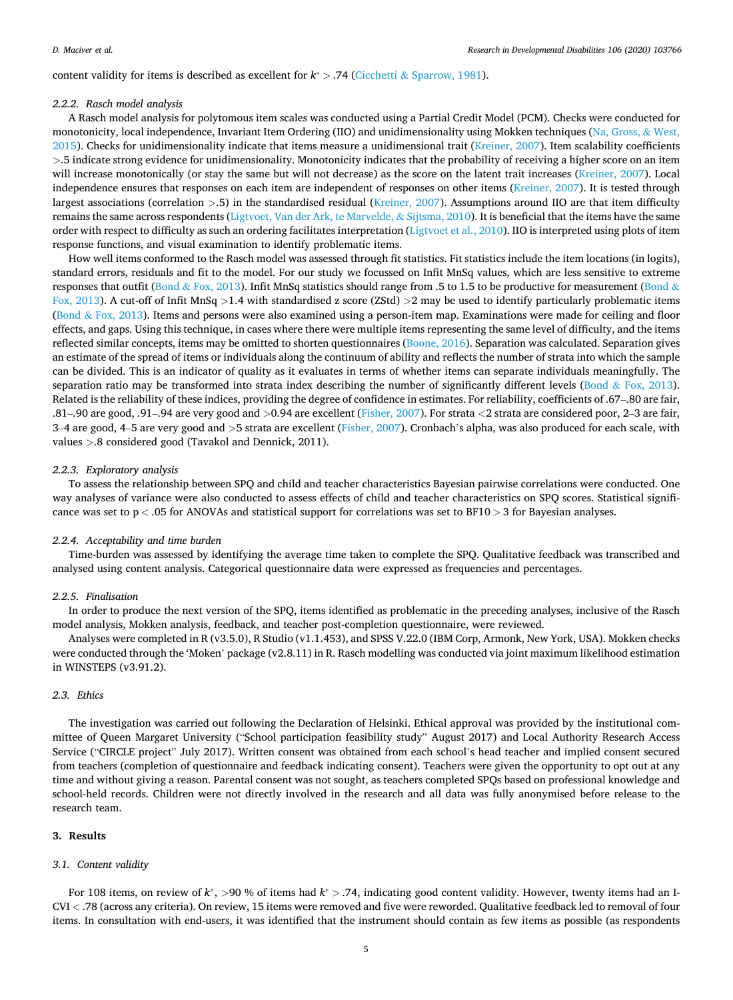content validity for items is described as excellent for *k*<sup>∗</sup> *>* .74 (Cicchetti & [Sparrow, 1981](#page-12-0)).

#### *2.2.2. Rasch model analysis*

A Rasch model analysis for polytomous item scales was conducted using a Partial Credit Model (PCM). Checks were conducted for monotonicity, local independence, Invariant Item Ordering (IIO) and unidimensionality using Mokken techniques [\(Na, Gross,](#page-12-0) & West, [2015\)](#page-12-0). Checks for unidimensionality indicate that items measure a unidimensional trait ([Kreiner, 2007](#page-12-0)). Item scalability coefficients *>*.5 indicate strong evidence for unidimensionality. Monotonicity indicates that the probability of receiving a higher score on an item will increase monotonically (or stay the same but will not decrease) as the score on the latent trait increases [\(Kreiner, 2007\)](#page-12-0). Local independence ensures that responses on each item are independent of responses on other items ([Kreiner, 2007](#page-12-0)). It is tested through largest associations (correlation *>*.5) in the standardised residual ([Kreiner, 2007\)](#page-12-0). Assumptions around IIO are that item difficulty remains the same across respondents [\(Ligtvoet, Van der Ark, te Marvelde,](#page-12-0) & Sijtsma, 2010). It is beneficial that the items have the same order with respect to difficulty as such an ordering facilitates interpretation [\(Ligtvoet et al., 2010\)](#page-12-0). IIO is interpreted using plots of item response functions, and visual examination to identify problematic items.

How well items conformed to the Rasch model was assessed through fit statistics. Fit statistics include the item locations (in logits), standard errors, residuals and fit to the model. For our study we focussed on Infit MnSq values, which are less sensitive to extreme responses that outfit (Bond & [Fox, 2013\)](#page-12-0). Infit MnSq statistics should range from .5 to 1.5 to be productive for measurement ([Bond](#page-12-0) & [Fox, 2013](#page-12-0)). A cut-off of Infit MnSq *>*1.4 with standardised z score (ZStd) *>*2 may be used to identify particularly problematic items (Bond & [Fox, 2013](#page-12-0)). Items and persons were also examined using a person-item map. Examinations were made for ceiling and floor effects, and gaps. Using this technique, in cases where there were multiple items representing the same level of difficulty, and the items reflected similar concepts, items may be omitted to shorten questionnaires [\(Boone, 2016](#page-12-0)). Separation was calculated. Separation gives an estimate of the spread of items or individuals along the continuum of ability and reflects the number of strata into which the sample can be divided. This is an indicator of quality as it evaluates in terms of whether items can separate individuals meaningfully. The separation ratio may be transformed into strata index describing the number of significantly different levels (Bond  $\&$  [Fox, 2013](#page-12-0)). Related is the reliability of these indices, providing the degree of confidence in estimates. For reliability, coefficients of .67–.80 are fair, .81–.90 are good, .91–.94 are very good and *>*0.94 are excellent [\(Fisher, 2007](#page-12-0)). For strata *<*2 strata are considered poor, 2–3 are fair, 3–4 are good, 4–5 are very good and *>*5 strata are excellent ([Fisher, 2007\)](#page-12-0). Cronbach's alpha, was also produced for each scale, with values *>*.8 considered good (Tavakol and Dennick, 2011).

#### *2.2.3. Exploratory analysis*

To assess the relationship between SPQ and child and teacher characteristics Bayesian pairwise correlations were conducted. One way analyses of variance were also conducted to assess effects of child and teacher characteristics on SPQ scores. Statistical significance was set to p *<* .05 for ANOVAs and statistical support for correlations was set to BF10 *>* 3 for Bayesian analyses.

#### *2.2.4. Acceptability and time burden*

Time-burden was assessed by identifying the average time taken to complete the SPQ. Qualitative feedback was transcribed and analysed using content analysis. Categorical questionnaire data were expressed as frequencies and percentages.

#### *2.2.5. Finalisation*

In order to produce the next version of the SPQ, items identified as problematic in the preceding analyses, inclusive of the Rasch model analysis, Mokken analysis, feedback, and teacher post-completion questionnaire, were reviewed.

Analyses were completed in R (v3.5.0), R Studio (v1.1.453), and SPSS V.22.0 (IBM Corp, Armonk, New York, USA). Mokken checks were conducted through the 'Moken' package (v2.8.11) in R. Rasch modelling was conducted via joint maximum likelihood estimation in WINSTEPS (v3.91.2).

#### *2.3. Ethics*

The investigation was carried out following the Declaration of Helsinki. Ethical approval was provided by the institutional committee of Queen Margaret University ("School participation feasibility study" August 2017) and Local Authority Research Access Service ("CIRCLE project" July 2017). Written consent was obtained from each school's head teacher and implied consent secured from teachers (completion of questionnaire and feedback indicating consent). Teachers were given the opportunity to opt out at any time and without giving a reason. Parental consent was not sought, as teachers completed SPQs based on professional knowledge and school-held records. Children were not directly involved in the research and all data was fully anonymised before release to the research team.

#### **3. Results**

#### *3.1. Content validity*

For 108 items, on review of *k*<sup>∗</sup>, *>*90 % of items had *k*<sup>∗</sup> *>* .74, indicating good content validity. However, twenty items had an I-CVI *<* .78 (across any criteria). On review, 15 items were removed and five were reworded. Qualitative feedback led to removal of four items. In consultation with end-users, it was identified that the instrument should contain as few items as possible (as respondents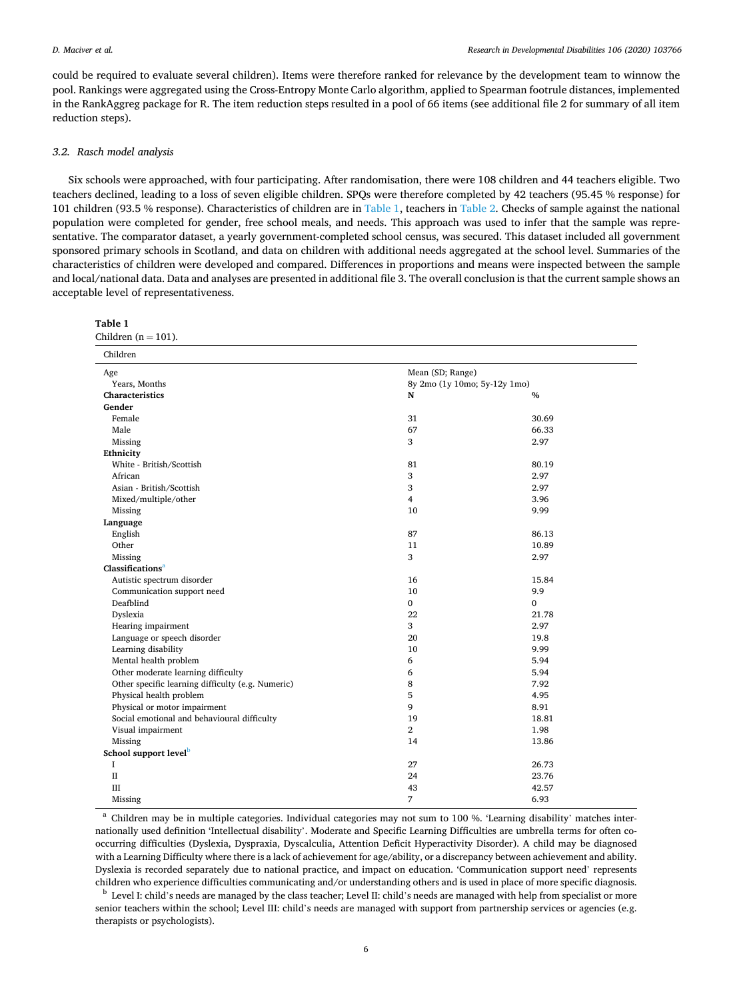could be required to evaluate several children). Items were therefore ranked for relevance by the development team to winnow the pool. Rankings were aggregated using the Cross-Entropy Monte Carlo algorithm, applied to Spearman footrule distances, implemented in the RankAggreg package for R. The item reduction steps resulted in a pool of 66 items (see additional file 2 for summary of all item reduction steps).

#### *3.2. Rasch model analysis*

Six schools were approached, with four participating. After randomisation, there were 108 children and 44 teachers eligible. Two teachers declined, leading to a loss of seven eligible children. SPQs were therefore completed by 42 teachers (95.45 % response) for 101 children (93.5 % response). Characteristics of children are in Table 1, teachers in [Table 2](#page-8-0). Checks of sample against the national population were completed for gender, free school meals, and needs. This approach was used to infer that the sample was representative. The comparator dataset, a yearly government-completed school census, was secured. This dataset included all government sponsored primary schools in Scotland, and data on children with additional needs aggregated at the school level. Summaries of the characteristics of children were developed and compared. Differences in proportions and means were inspected between the sample and local/national data. Data and analyses are presented in additional file 3. The overall conclusion is that the current sample shows an acceptable level of representativeness.

| Table 1 |                        |
|---------|------------------------|
|         | Children $(n = 101)$ . |

| Children                                          |                              |       |  |
|---------------------------------------------------|------------------------------|-------|--|
| Age                                               | Mean (SD; Range)             |       |  |
| Years, Months                                     | 8y 2mo (1y 10mo; 5y-12y 1mo) |       |  |
| Characteristics                                   | $\mathbf N$                  | $\%$  |  |
| Gender                                            |                              |       |  |
| Female                                            | 31                           | 30.69 |  |
| Male                                              | 67                           | 66.33 |  |
| Missing                                           | 3                            | 2.97  |  |
| Ethnicity                                         |                              |       |  |
| White - British/Scottish                          | 81                           | 80.19 |  |
| African                                           | 3                            | 2.97  |  |
| Asian - British/Scottish                          | 3                            | 2.97  |  |
| Mixed/multiple/other                              | $\overline{4}$               | 3.96  |  |
| Missing                                           | 10                           | 9.99  |  |
| Language                                          |                              |       |  |
| English                                           | 87                           | 86.13 |  |
| Other                                             | 11                           | 10.89 |  |
| Missing                                           | 3                            | 2.97  |  |
| Classifications <sup>a</sup>                      |                              |       |  |
| Autistic spectrum disorder                        | 16                           | 15.84 |  |
| Communication support need                        | 10                           | 9.9   |  |
| Deafblind                                         | $\mathbf{0}$                 | 0     |  |
| Dyslexia                                          | 22                           | 21.78 |  |
| Hearing impairment                                | 3                            | 2.97  |  |
| Language or speech disorder                       | 20                           | 19.8  |  |
| Learning disability                               | 10                           | 9.99  |  |
| Mental health problem                             | 6                            | 5.94  |  |
| Other moderate learning difficulty                | 6                            | 5.94  |  |
| Other specific learning difficulty (e.g. Numeric) | 8                            | 7.92  |  |
| Physical health problem                           | 5                            | 4.95  |  |
| Physical or motor impairment                      | 9                            | 8.91  |  |
| Social emotional and behavioural difficulty       | 19                           | 18.81 |  |
| Visual impairment                                 | $\overline{2}$               | 1.98  |  |
| Missing                                           | 14                           | 13.86 |  |
| School support level <sup>b</sup>                 |                              |       |  |
| I                                                 | 27                           | 26.73 |  |
| $\rm II$                                          | 24                           | 23.76 |  |
| III                                               | 43                           | 42.57 |  |
| Missing                                           | 7                            | 6.93  |  |

<sup>a</sup> Children may be in multiple categories. Individual categories may not sum to 100 %. 'Learning disability' matches internationally used definition 'Intellectual disability'. Moderate and Specific Learning Difficulties are umbrella terms for often cooccurring difficulties (Dyslexia, Dyspraxia, Dyscalculia, Attention Deficit Hyperactivity Disorder). A child may be diagnosed with a Learning Difficulty where there is a lack of achievement for age/ability, or a discrepancy between achievement and ability. Dyslexia is recorded separately due to national practice, and impact on education. 'Communication support need' represents

children who experience difficulties communicating and/or understanding others and is used in place of more specific diagnosis.<br><sup>b</sup> Level I: child's needs are managed by the class teacher; Level II: child's needs are manag senior teachers within the school; Level III: child's needs are managed with support from partnership services or agencies (e.g. therapists or psychologists).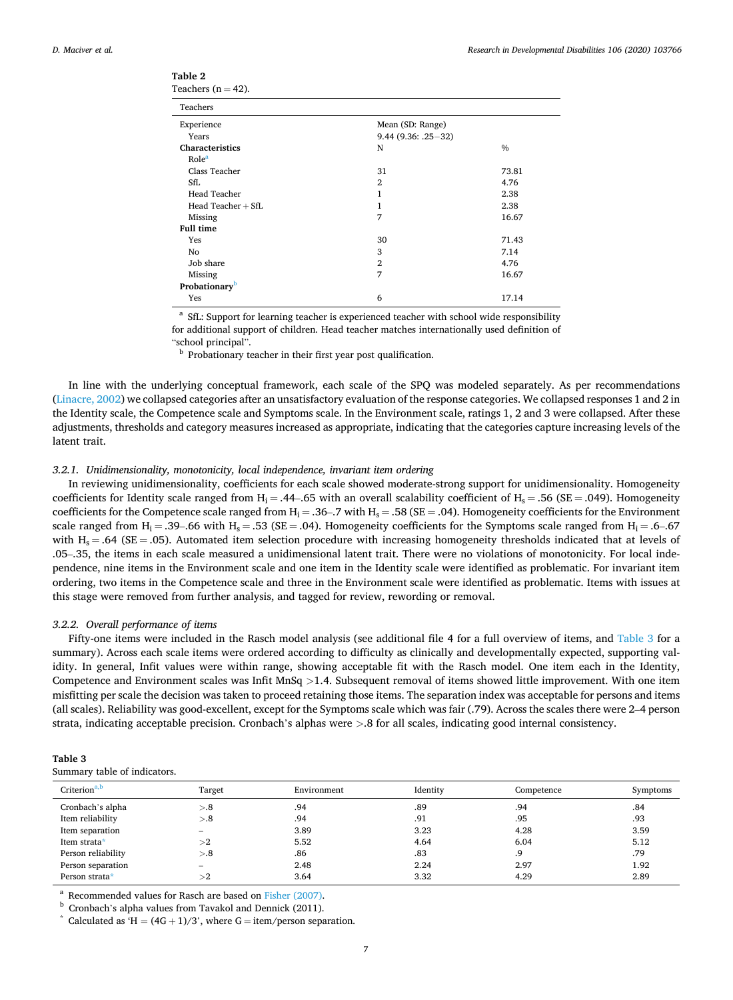| Teachers $(n = 42)$ .     |                      |       |  |
|---------------------------|----------------------|-------|--|
| Teachers                  |                      |       |  |
| Experience                | Mean (SD: Range)     |       |  |
| Years                     | $9.44(9.36: .25-32)$ |       |  |
| Characteristics           | N                    | $\%$  |  |
| Role <sup>a</sup>         |                      |       |  |
| Class Teacher             | 31                   | 73.81 |  |
| SfL                       | $\overline{2}$       | 4.76  |  |
| <b>Head Teacher</b>       | 1                    | 2.38  |  |
| Head Teacher $+$ SfL      | 1                    | 2.38  |  |
| Missing                   | 7                    | 16.67 |  |
| <b>Full time</b>          |                      |       |  |
| Yes                       | 30                   | 71.43 |  |
| No                        | 3                    | 7.14  |  |
| Job share                 | $\overline{2}$       | 4.76  |  |
| Missing                   | 7                    | 16.67 |  |
| Probationary <sup>b</sup> |                      |       |  |
| Yes                       | 6                    | 17.14 |  |
|                           |                      |       |  |

<span id="page-8-0"></span>

| Table |  |
|-------|--|
|-------|--|

<sup>a</sup> SfL: Support for learning teacher is experienced teacher with school wide responsibility for additional support of children. Head teacher matches internationally used definition of

"school principal".<br><sup>b</sup> Probationary teacher in their first year post qualification.

In line with the underlying conceptual framework, each scale of the SPQ was modeled separately. As per recommendations [\(Linacre, 2002\)](#page-12-0) we collapsed categories after an unsatisfactory evaluation of the response categories. We collapsed responses 1 and 2 in the Identity scale, the Competence scale and Symptoms scale. In the Environment scale, ratings 1, 2 and 3 were collapsed. After these adjustments, thresholds and category measures increased as appropriate, indicating that the categories capture increasing levels of the latent trait.

#### *3.2.1. Unidimensionality, monotonicity, local independence, invariant item ordering*

In reviewing unidimensionality, coefficients for each scale showed moderate-strong support for unidimensionality. Homogeneity coefficients for Identity scale ranged from H<sub>i</sub> = .44–.65 with an overall scalability coefficient of H<sub>s</sub> = .56 (SE = .049). Homogeneity coefficients for the Competence scale ranged from  $H_i = .36-.7$  with  $H_s = .58$  (SE = .04). Homogeneity coefficients for the Environment scale ranged from H<sub>i</sub> = .39–.66 with H<sub>s</sub> = .53 (SE = .04). Homogeneity coefficients for the Symptoms scale ranged from H<sub>i</sub> = .6–.67 with  $H_s = .64$  (SE = .05). Automated item selection procedure with increasing homogeneity thresholds indicated that at levels of .05–.35, the items in each scale measured a unidimensional latent trait. There were no violations of monotonicity. For local independence, nine items in the Environment scale and one item in the Identity scale were identified as problematic. For invariant item ordering, two items in the Competence scale and three in the Environment scale were identified as problematic. Items with issues at this stage were removed from further analysis, and tagged for review, rewording or removal.

#### *3.2.2. Overall performance of items*

Fifty-one items were included in the Rasch model analysis (see additional file 4 for a full overview of items, and Table 3 for a summary). Across each scale items were ordered according to difficulty as clinically and developmentally expected, supporting validity. In general, Infit values were within range, showing acceptable fit with the Rasch model. One item each in the Identity, Competence and Environment scales was Infit MnSq *>*1.4. Subsequent removal of items showed little improvement. With one item misfitting per scale the decision was taken to proceed retaining those items. The separation index was acceptable for persons and items (all scales). Reliability was good-excellent, except for the Symptoms scale which was fair (.79). Across the scales there were 2–4 person strata, indicating acceptable precision. Cronbach's alphas were *>*.8 for all scales, indicating good internal consistency.

| Table 3 |                              |
|---------|------------------------------|
|         | Summary table of indicators. |

| Criterion <sup>a,b</sup> | Target            | Environment | Identity | Competence | Symptoms |
|--------------------------|-------------------|-------------|----------|------------|----------|
| Cronbach's alpha         | > 8               | .94         | .89      | .94        | .84      |
| Item reliability         | > 8               | .94         | .91      | .95        | .93      |
| Item separation          | $\hspace{0.05cm}$ | 3.89        | 3.23     | 4.28       | 3.59     |
| Item strata*             | >2                | 5.52        | 4.64     | 6.04       | 5.12     |
| Person reliability       | > 8               | .86         | .83      | .9         | .79      |
| Person separation        |                   | 2.48        | 2.24     | 2.97       | 1.92     |
| Person strata*           | >2                | 3.64        | 3.32     | 4.29       | 2.89     |

<sup>a</sup> Recommended values for Rasch are based on [Fisher \(2007\)](#page-12-0).<br><sup>b</sup> Cronbach's alpha values from Tavakol and Dennick (2011).<br><sup>\*</sup> Calculated as 'H = (4G + 1)/3', where G = item/person separation.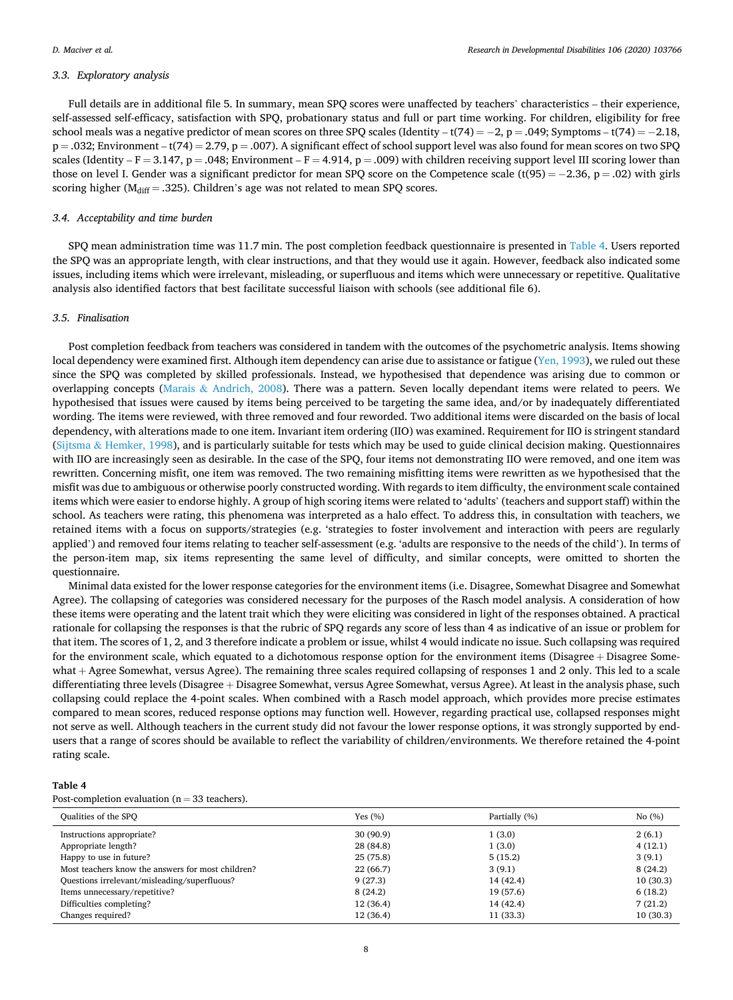#### *3.3. Exploratory analysis*

Full details are in additional file 5. In summary, mean SPQ scores were unaffected by teachers' characteristics – their experience, self-assessed self-efficacy, satisfaction with SPQ, probationary status and full or part time working. For children, eligibility for free school meals was a negative predictor of mean scores on three SPQ scales (Identity – t(74) = −2, p = .049; Symptoms – t(74) = −2.18,  $p = .032$ ; Environment – t(74) = 2.79, p = .007). A significant effect of school support level was also found for mean scores on two SPQ scales (Identity –  $F = 3.147$ ,  $p = .048$ ; Environment –  $F = 4.914$ ,  $p = .009$ ) with children receiving support level III scoring lower than those on level I. Gender was a significant predictor for mean SPQ score on the Competence scale (t(95) = −2.36, p = .02) with girls scoring higher ( $M_{diff} = .325$ ). Children's age was not related to mean SPQ scores.

#### *3.4. Acceptability and time burden*

SPQ mean administration time was 11.7 min. The post completion feedback questionnaire is presented in Table 4. Users reported the SPQ was an appropriate length, with clear instructions, and that they would use it again. However, feedback also indicated some issues, including items which were irrelevant, misleading, or superfluous and items which were unnecessary or repetitive. Qualitative analysis also identified factors that best facilitate successful liaison with schools (see additional file 6).

#### *3.5. Finalisation*

Post completion feedback from teachers was considered in tandem with the outcomes of the psychometric analysis. Items showing local dependency were examined first. Although item dependency can arise due to assistance or fatigue ([Yen, 1993\)](#page-13-0), we ruled out these since the SPQ was completed by skilled professionals. Instead, we hypothesised that dependence was arising due to common or overlapping concepts (Marais & [Andrich, 2008\)](#page-12-0). There was a pattern. Seven locally dependant items were related to peers. We hypothesised that issues were caused by items being perceived to be targeting the same idea, and/or by inadequately differentiated wording. The items were reviewed, with three removed and four reworded. Two additional items were discarded on the basis of local dependency, with alterations made to one item. Invariant item ordering (IIO) was examined. Requirement for IIO is stringent standard (Sijtsma & [Hemker, 1998](#page-12-0)), and is particularly suitable for tests which may be used to guide clinical decision making. Questionnaires with IIO are increasingly seen as desirable. In the case of the SPQ, four items not demonstrating IIO were removed, and one item was rewritten. Concerning misfit, one item was removed. The two remaining misfitting items were rewritten as we hypothesised that the misfit was due to ambiguous or otherwise poorly constructed wording. With regards to item difficulty, the environment scale contained items which were easier to endorse highly. A group of high scoring items were related to 'adults' (teachers and support staff) within the school. As teachers were rating, this phenomena was interpreted as a halo effect. To address this, in consultation with teachers, we retained items with a focus on supports/strategies (e.g. 'strategies to foster involvement and interaction with peers are regularly applied') and removed four items relating to teacher self-assessment (e.g. 'adults are responsive to the needs of the child'). In terms of the person-item map, six items representing the same level of difficulty, and similar concepts, were omitted to shorten the questionnaire.

Minimal data existed for the lower response categories for the environment items (i.e. Disagree, Somewhat Disagree and Somewhat Agree). The collapsing of categories was considered necessary for the purposes of the Rasch model analysis. A consideration of how these items were operating and the latent trait which they were eliciting was considered in light of the responses obtained. A practical rationale for collapsing the responses is that the rubric of SPQ regards any score of less than 4 as indicative of an issue or problem for that item. The scores of 1, 2, and 3 therefore indicate a problem or issue, whilst 4 would indicate no issue. Such collapsing was required for the environment scale, which equated to a dichotomous response option for the environment items (Disagree + Disagree Somewhat + Agree Somewhat, versus Agree). The remaining three scales required collapsing of responses 1 and 2 only. This led to a scale differentiating three levels (Disagree + Disagree Somewhat, versus Agree Somewhat, versus Agree). At least in the analysis phase, such collapsing could replace the 4-point scales. When combined with a Rasch model approach, which provides more precise estimates compared to mean scores, reduced response options may function well. However, regarding practical use, collapsed responses might not serve as well. Although teachers in the current study did not favour the lower response options, it was strongly supported by endusers that a range of scores should be available to reflect the variability of children/environments. We therefore retained the 4-point rating scale.

#### **Table 4**

Post-completion evaluation ( $n = 33$  teachers).

| Qualities of the SPQ                              | Yes $(\% )$ | Partially (%) | No(%)    |
|---------------------------------------------------|-------------|---------------|----------|
| Instructions appropriate?                         | 30 (90.9)   | 1(3.0)        | 2(6.1)   |
| Appropriate length?                               | 28 (84.8)   | 1(3.0)        | 4(12,1)  |
| Happy to use in future?                           | 25(75.8)    | 5(15.2)       | 3(9.1)   |
| Most teachers know the answers for most children? | 22 (66.7)   | 3(9.1)        | 8(24.2)  |
| Questions irrelevant/misleading/superfluous?      | 9(27.3)     | 14 (42.4)     | 10(30.3) |
| Items unnecessary/repetitive?                     | 8(24.2)     | 19 (57.6)     | 6(18.2)  |
| Difficulties completing?                          | 12(36.4)    | 14 (42.4)     | 7(21.2)  |
| Changes required?                                 | 12 (36.4)   | 11(33.3)      | 10(30.3) |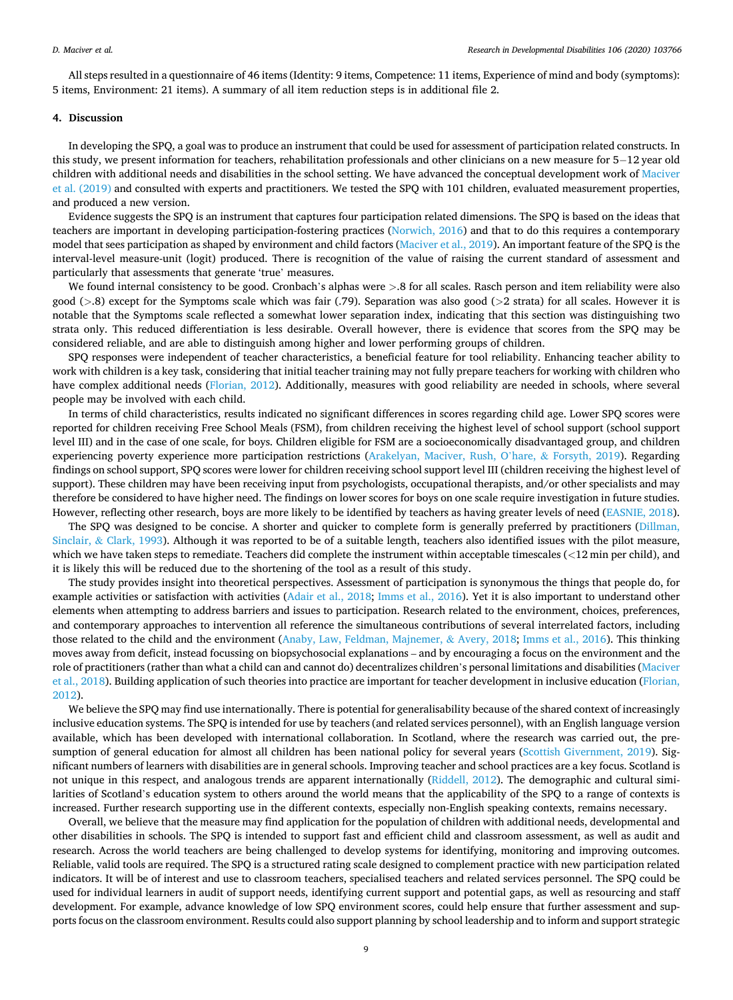All steps resulted in a questionnaire of 46 items (Identity: 9 items, Competence: 11 items, Experience of mind and body (symptoms): 5 items, Environment: 21 items). A summary of all item reduction steps is in additional file 2.

#### **4. Discussion**

In developing the SPQ, a goal was to produce an instrument that could be used for assessment of participation related constructs. In this study, we present information for teachers, rehabilitation professionals and other clinicians on a new measure for 5− 12 year old children with additional needs and disabilities in the school setting. We have advanced the conceptual development work of [Maciver](#page-12-0) [et al. \(2019\)](#page-12-0) and consulted with experts and practitioners. We tested the SPQ with 101 children, evaluated measurement properties, and produced a new version.

Evidence suggests the SPQ is an instrument that captures four participation related dimensions. The SPQ is based on the ideas that teachers are important in developing participation-fostering practices [\(Norwich, 2016](#page-12-0)) and that to do this requires a contemporary model that sees participation as shaped by environment and child factors [\(Maciver et al., 2019](#page-12-0)). An important feature of the SPQ is the interval-level measure-unit (logit) produced. There is recognition of the value of raising the current standard of assessment and particularly that assessments that generate 'true' measures.

We found internal consistency to be good. Cronbach's alphas were *>*.8 for all scales. Rasch person and item reliability were also good (*>*.8) except for the Symptoms scale which was fair (.79). Separation was also good (*>*2 strata) for all scales. However it is notable that the Symptoms scale reflected a somewhat lower separation index, indicating that this section was distinguishing two strata only. This reduced differentiation is less desirable. Overall however, there is evidence that scores from the SPQ may be considered reliable, and are able to distinguish among higher and lower performing groups of children.

SPQ responses were independent of teacher characteristics, a beneficial feature for tool reliability. Enhancing teacher ability to work with children is a key task, considering that initial teacher training may not fully prepare teachers for working with children who have complex additional needs ([Florian, 2012](#page-12-0)). Additionally, measures with good reliability are needed in schools, where several people may be involved with each child.

In terms of child characteristics, results indicated no significant differences in scores regarding child age. Lower SPQ scores were reported for children receiving Free School Meals (FSM), from children receiving the highest level of school support (school support level III) and in the case of one scale, for boys. Children eligible for FSM are a socioeconomically disadvantaged group, and children experiencing poverty experience more participation restrictions ([Arakelyan, Maciver, Rush, O](#page-12-0)'hare, & Forsyth, 2019). Regarding findings on school support, SPQ scores were lower for children receiving school support level III (children receiving the highest level of support). These children may have been receiving input from psychologists, occupational therapists, and/or other specialists and may therefore be considered to have higher need. The findings on lower scores for boys on one scale require investigation in future studies. However, reflecting other research, boys are more likely to be identified by teachers as having greater levels of need ([EASNIE, 2018](#page-12-0)).

The SPO was designed to be concise. A shorter and quicker to complete form is generally preferred by practitioners ([Dillman,](#page-12-0) Sinclair, & [Clark, 1993\)](#page-12-0). Although it was reported to be of a suitable length, teachers also identified issues with the pilot measure, which we have taken steps to remediate. Teachers did complete the instrument within acceptable timescales (*<*12 min per child), and it is likely this will be reduced due to the shortening of the tool as a result of this study.

The study provides insight into theoretical perspectives. Assessment of participation is synonymous the things that people do, for example activities or satisfaction with activities ([Adair et al., 2018](#page-11-0); [Imms et al., 2016](#page-12-0)). Yet it is also important to understand other elements when attempting to address barriers and issues to participation. Research related to the environment, choices, preferences, and contemporary approaches to intervention all reference the simultaneous contributions of several interrelated factors, including those related to the child and the environment ([Anaby, Law, Feldman, Majnemer,](#page-12-0) & Avery, 2018; [Imms et al., 2016\)](#page-12-0). This thinking moves away from deficit, instead focussing on biopsychosocial explanations – and by encouraging a focus on the environment and the role of practitioners (rather than what a child can and cannot do) decentralizes children's personal limitations and disabilities ([Maciver](#page-12-0) [et al., 2018](#page-12-0)). Building application of such theories into practice are important for teacher development in inclusive education ([Florian,](#page-12-0) [2012\)](#page-12-0).

We believe the SPQ may find use internationally. There is potential for generalisability because of the shared context of increasingly inclusive education systems. The SPQ is intended for use by teachers (and related services personnel), with an English language version available, which has been developed with international collaboration. In Scotland, where the research was carried out, the presumption of general education for almost all children has been national policy for several years ([Scottish Givernment, 2019\)](#page-12-0). Significant numbers of learners with disabilities are in general schools. Improving teacher and school practices are a key focus. Scotland is not unique in this respect, and analogous trends are apparent internationally ([Riddell, 2012\)](#page-12-0). The demographic and cultural similarities of Scotland's education system to others around the world means that the applicability of the SPQ to a range of contexts is increased. Further research supporting use in the different contexts, especially non-English speaking contexts, remains necessary.

Overall, we believe that the measure may find application for the population of children with additional needs, developmental and other disabilities in schools. The SPQ is intended to support fast and efficient child and classroom assessment, as well as audit and research. Across the world teachers are being challenged to develop systems for identifying, monitoring and improving outcomes. Reliable, valid tools are required. The SPQ is a structured rating scale designed to complement practice with new participation related indicators. It will be of interest and use to classroom teachers, specialised teachers and related services personnel. The SPQ could be used for individual learners in audit of support needs, identifying current support and potential gaps, as well as resourcing and staff development. For example, advance knowledge of low SPQ environment scores, could help ensure that further assessment and supports focus on the classroom environment. Results could also support planning by school leadership and to inform and support strategic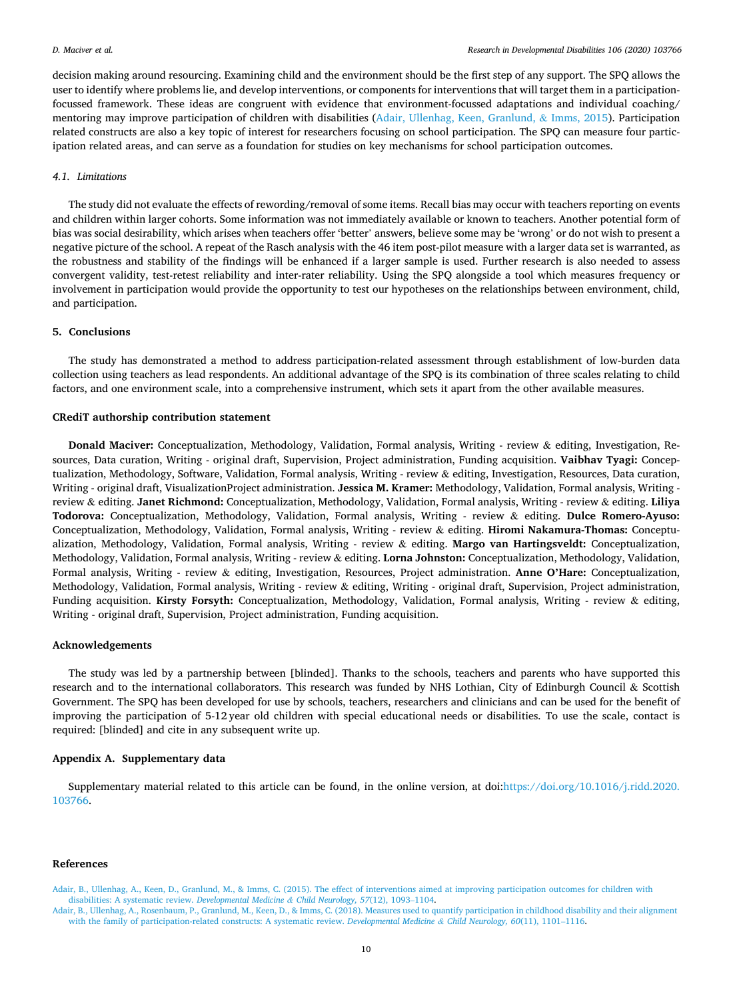<span id="page-11-0"></span>decision making around resourcing. Examining child and the environment should be the first step of any support. The SPQ allows the user to identify where problems lie, and develop interventions, or components for interventions that will target them in a participationfocussed framework. These ideas are congruent with evidence that environment-focussed adaptations and individual coaching/ mentoring may improve participation of children with disabilities (Adair, Ullenhag, Keen, Granlund, & Imms, 2015). Participation related constructs are also a key topic of interest for researchers focusing on school participation. The SPQ can measure four participation related areas, and can serve as a foundation for studies on key mechanisms for school participation outcomes.

#### *4.1. Limitations*

The study did not evaluate the effects of rewording/removal of some items. Recall bias may occur with teachers reporting on events and children within larger cohorts. Some information was not immediately available or known to teachers. Another potential form of bias was social desirability, which arises when teachers offer 'better' answers, believe some may be 'wrong' or do not wish to present a negative picture of the school. A repeat of the Rasch analysis with the 46 item post-pilot measure with a larger data set is warranted, as the robustness and stability of the findings will be enhanced if a larger sample is used. Further research is also needed to assess convergent validity, test-retest reliability and inter-rater reliability. Using the SPQ alongside a tool which measures frequency or involvement in participation would provide the opportunity to test our hypotheses on the relationships between environment, child, and participation.

#### **5. Conclusions**

The study has demonstrated a method to address participation-related assessment through establishment of low-burden data collection using teachers as lead respondents. An additional advantage of the SPQ is its combination of three scales relating to child factors, and one environment scale, into a comprehensive instrument, which sets it apart from the other available measures.

#### **CRediT authorship contribution statement**

**Donald Maciver:** Conceptualization, Methodology, Validation, Formal analysis, Writing - review & editing, Investigation, Resources, Data curation, Writing - original draft, Supervision, Project administration, Funding acquisition. **Vaibhav Tyagi:** Conceptualization, Methodology, Software, Validation, Formal analysis, Writing - review & editing, Investigation, Resources, Data curation, Writing - original draft, VisualizationProject administration. **Jessica M. Kramer:** Methodology, Validation, Formal analysis, Writing review & editing. **Janet Richmond:** Conceptualization, Methodology, Validation, Formal analysis, Writing - review & editing. **Liliya Todorova:** Conceptualization, Methodology, Validation, Formal analysis, Writing - review & editing. **Dulce Romero-Ayuso:**  Conceptualization, Methodology, Validation, Formal analysis, Writing - review & editing. **Hiromi Nakamura-Thomas:** Conceptualization, Methodology, Validation, Formal analysis, Writing - review & editing. **Margo van Hartingsveldt:** Conceptualization, Methodology, Validation, Formal analysis, Writing - review & editing. **Lorna Johnston:** Conceptualization, Methodology, Validation, Formal analysis, Writing - review & editing, Investigation, Resources, Project administration. **Anne O'Hare:** Conceptualization, Methodology, Validation, Formal analysis, Writing - review & editing, Writing - original draft, Supervision, Project administration, Funding acquisition. **Kirsty Forsyth:** Conceptualization, Methodology, Validation, Formal analysis, Writing - review & editing, Writing - original draft, Supervision, Project administration, Funding acquisition.

#### **Acknowledgements**

The study was led by a partnership between [blinded]. Thanks to the schools, teachers and parents who have supported this research and to the international collaborators. This research was funded by NHS Lothian, City of Edinburgh Council & Scottish Government. The SPQ has been developed for use by schools, teachers, researchers and clinicians and can be used for the benefit of improving the participation of 5-12 year old children with special educational needs or disabilities. To use the scale, contact is required: [blinded] and cite in any subsequent write up.

#### **Appendix A. Supplementary data**

Supplementary material related to this article can be found, in the online version, at doi:[https://doi.org/10.1016/j.ridd.2020.](https://doi.org/10.1016/j.ridd.2020.103766) [103766.](https://doi.org/10.1016/j.ridd.2020.103766)

#### **References**

[Adair, B., Ullenhag, A., Keen, D., Granlund, M., & Imms, C. \(2015\). The effect of interventions aimed at improving participation outcomes for children with](http://refhub.elsevier.com/S0891-4222(20)30198-0/sbref0005) [disabilities: A systematic review.](http://refhub.elsevier.com/S0891-4222(20)30198-0/sbref0005) *Developmental Medicine & Child Neurology, 57*(12), 1093–1104.

[Adair, B., Ullenhag, A., Rosenbaum, P., Granlund, M., Keen, D., & Imms, C. \(2018\). Measures used to quantify participation in childhood disability and their alignment](http://refhub.elsevier.com/S0891-4222(20)30198-0/sbref0010) [with the family of participation-related constructs: A systematic review.](http://refhub.elsevier.com/S0891-4222(20)30198-0/sbref0010) *Developmental Medicine & Child Neurology, 60*(11), 1101–1116.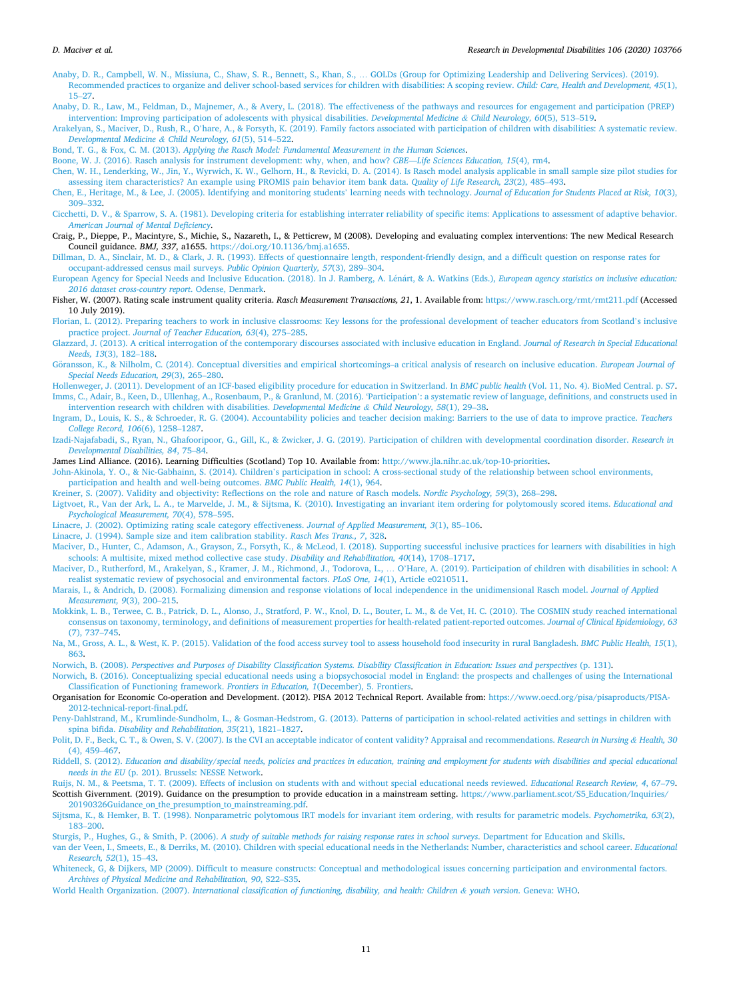- <span id="page-12-0"></span>[Anaby, D. R., Campbell, W. N., Missiuna, C., Shaw, S. R., Bennett, S., Khan, S.,](http://refhub.elsevier.com/S0891-4222(20)30198-0/sbref0015) … GOLDs (Group for Optimizing Leadership and Delivering Services). (2019). [Recommended practices to organize and deliver school-based services for children with disabilities: A scoping review.](http://refhub.elsevier.com/S0891-4222(20)30198-0/sbref0015) *Child: Care, Health and Development, 45*(1), [15](http://refhub.elsevier.com/S0891-4222(20)30198-0/sbref0015)–27.
- [Anaby, D. R., Law, M., Feldman, D., Majnemer, A., & Avery, L. \(2018\). The effectiveness of the pathways and resources for engagement and participation \(PREP\)](http://refhub.elsevier.com/S0891-4222(20)30198-0/sbref0020) [intervention: Improving participation of adolescents with physical disabilities.](http://refhub.elsevier.com/S0891-4222(20)30198-0/sbref0020) *Developmental Medicine & Child Neurology, 60*(5), 513–519.
- Arakelyan, S., Maciver, D., Rush, R., O'[hare, A., & Forsyth, K. \(2019\). Family factors associated with participation of children with disabilities: A systematic review.](http://refhub.elsevier.com/S0891-4222(20)30198-0/sbref0025) *[Developmental Medicine](http://refhub.elsevier.com/S0891-4222(20)30198-0/sbref0025) & Child Neurology, 61*(5), 514–522.
- Bond, T. G., & Fox, C. M. (2013). *[Applying the Rasch Model: Fundamental Measurement in the Human Sciences](http://refhub.elsevier.com/S0891-4222(20)30198-0/sbref0030)*.
- [Boone, W. J. \(2016\). Rasch analysis for instrument development: why, when, and how?](http://refhub.elsevier.com/S0891-4222(20)30198-0/sbref0035) *CBE*—*Life Sciences Education, 15*(4), rm4.
- [Chen, W. H., Lenderking, W., Jin, Y., Wyrwich, K. W., Gelhorn, H., & Revicki, D. A. \(2014\). Is Rasch model analysis applicable in small sample size pilot studies for](http://refhub.elsevier.com/S0891-4222(20)30198-0/sbref0040) [assessing item characteristics? An example using PROMIS pain behavior item bank data.](http://refhub.elsevier.com/S0891-4222(20)30198-0/sbref0040) *Quality of Life Research, 23*(2), 485–493.
- [Chen, E., Heritage, M., & Lee, J. \(2005\). Identifying and monitoring students](http://refhub.elsevier.com/S0891-4222(20)30198-0/sbref0045)' learning needs with technology. *Journal of Education for Students Placed at Risk, 10*(3), 309–[332.](http://refhub.elsevier.com/S0891-4222(20)30198-0/sbref0045)
- [Cicchetti, D. V., & Sparrow, S. A. \(1981\). Developing criteria for establishing interrater reliability of specific items: Applications to assessment of adaptive behavior.](http://refhub.elsevier.com/S0891-4222(20)30198-0/sbref0050) *[American Journal of Mental Deficiency](http://refhub.elsevier.com/S0891-4222(20)30198-0/sbref0050)*.
- Craig, P., Dieppe, P., Macintyre, S., Michie, S., Nazareth, I., & Petticrew, M (2008). Developing and evaluating complex interventions: The new Medical Research Council guidance. *BMJ, 337*, a1655.<https://doi.org/10.1136/bmj.a1655>.
- [Dillman, D. A., Sinclair, M. D., & Clark, J. R. \(1993\). Effects of questionnaire length, respondent-friendly design, and a difficult question on response rates for](http://refhub.elsevier.com/S0891-4222(20)30198-0/sbref0060)  [occupant-addressed census mail surveys.](http://refhub.elsevier.com/S0891-4222(20)30198-0/sbref0060) *Public Opinion Quarterly, 57*(3), 289–304.
- [European Agency for Special Needs and Inclusive Education. \(2018\). In J. Ramberg, A. L](http://refhub.elsevier.com/S0891-4222(20)30198-0/sbref0065)énárt, & A. Watkins (Eds.), *European agency statistics on inclusive education: [2016 dataset cross-country report](http://refhub.elsevier.com/S0891-4222(20)30198-0/sbref0065)*. Odense, Denmark.
- Fisher, W. (2007). Rating scale instrument quality criteria. *Rasch Measurement Transactions, 21*, 1. Available from: <https://www.rasch.org/rmt/rmt211.pdf>(Accessed 10 July 2019).
- [Florian, L. \(2012\). Preparing teachers to work in inclusive classrooms: Key lessons for the professional development of teacher educators from Scotland](http://refhub.elsevier.com/S0891-4222(20)30198-0/sbref0075)'s inclusive practice project. *[Journal of Teacher Education, 63](http://refhub.elsevier.com/S0891-4222(20)30198-0/sbref0075)*(4), 275–285.
- [Glazzard, J. \(2013\). A critical interrogation of the contemporary discourses associated with inclusive education in England.](http://refhub.elsevier.com/S0891-4222(20)30198-0/sbref0080) *Journal of Research in Special Educational [Needs, 13](http://refhub.elsevier.com/S0891-4222(20)30198-0/sbref0080)*(3), 182–188.
- Göransson, [K., & Nilholm, C. \(2014\). Conceptual diversities and empirical shortcomings](http://refhub.elsevier.com/S0891-4222(20)30198-0/sbref0085)–a critical analysis of research on inclusive education. *European Journal of [Special Needs Education, 29](http://refhub.elsevier.com/S0891-4222(20)30198-0/sbref0085)*(3), 265–280.
- [Hollenweger, J. \(2011\). Development of an ICF-based eligibility procedure for education in Switzerland. In](http://refhub.elsevier.com/S0891-4222(20)30198-0/sbref0090) *BMC public health* (Vol. 11, No. 4). BioMed Central. p. S7. [Imms, C., Adair, B., Keen, D., Ullenhag, A., Rosenbaum, P., & Granlund, M. \(2016\). 'Participation](http://refhub.elsevier.com/S0891-4222(20)30198-0/sbref0095)': a systematic review of language, definitions, and constructs used in
- [intervention research with children with disabilities.](http://refhub.elsevier.com/S0891-4222(20)30198-0/sbref0095) *Developmental Medicine & Child Neurology, 58*(1), 29–38. [Ingram, D., Louis, K. S., & Schroeder, R. G. \(2004\). Accountability policies and teacher decision making: Barriers to the use of data to improve practice.](http://refhub.elsevier.com/S0891-4222(20)30198-0/sbref0100) *Teachers*
- *[College Record, 106](http://refhub.elsevier.com/S0891-4222(20)30198-0/sbref0100)*(6), 1258–1287.
- [Izadi-Najafabadi, S., Ryan, N., Ghafooripoor, G., Gill, K., & Zwicker, J. G. \(2019\). Participation of children with developmental coordination disorder.](http://refhub.elsevier.com/S0891-4222(20)30198-0/sbref0105) *Research in [Developmental Disabilities, 84](http://refhub.elsevier.com/S0891-4222(20)30198-0/sbref0105)*, 75–84.

James Lind Alliance. (2016). Learning Difficulties (Scotland) Top 10. Available from: <http://www.jla.nihr.ac.uk/top-10-priorities>.

- John-Akinola, Y. O., & Nic-Gabhainn, S. (2014). Children'[s participation in school: A cross-sectional study of the relationship between school environments,](http://refhub.elsevier.com/S0891-4222(20)30198-0/sbref0115)
- [participation and health and well-being outcomes.](http://refhub.elsevier.com/S0891-4222(20)30198-0/sbref0115) *BMC Public Health, 14*(1), 964.
- [Kreiner, S. \(2007\). Validity and objectivity: Reflections on the role and nature of Rasch models.](http://refhub.elsevier.com/S0891-4222(20)30198-0/sbref0120) *Nordic Psychology, 59*(3), 268–298.
- [Ligtvoet, R., Van der Ark, L. A., te Marvelde, J. M., & Sijtsma, K. \(2010\). Investigating an invariant item ordering for polytomously scored items.](http://refhub.elsevier.com/S0891-4222(20)30198-0/sbref0125) *Educational and [Psychological Measurement, 70](http://refhub.elsevier.com/S0891-4222(20)30198-0/sbref0125)*(4), 578–595.
- [Linacre, J. \(2002\). Optimizing rating scale category effectiveness.](http://refhub.elsevier.com/S0891-4222(20)30198-0/sbref0130) *Journal of Applied Measurement, 3*(1), 85–106.
- [Linacre, J. \(1994\). Sample size and item calibration stability.](http://refhub.elsevier.com/S0891-4222(20)30198-0/sbref0135) *Rasch Mes Trans., 7*, 328.
- [Maciver, D., Hunter, C., Adamson, A., Grayson, Z., Forsyth, K., & McLeod, I. \(2018\). Supporting successful inclusive practices for learners with disabilities in high](http://refhub.elsevier.com/S0891-4222(20)30198-0/sbref0140) [schools: A multisite, mixed method collective case study.](http://refhub.elsevier.com/S0891-4222(20)30198-0/sbref0140) *Disability and Rehabilitation, 40*(14), 1708–1717.
- [Maciver, D., Rutherford, M., Arakelyan, S., Kramer, J. M., Richmond, J., Todorova, L.,](http://refhub.elsevier.com/S0891-4222(20)30198-0/sbref0145) … O'Hare, A. (2019). Participation of children with disabilities in school: A [realist systematic review of psychosocial and environmental factors.](http://refhub.elsevier.com/S0891-4222(20)30198-0/sbref0145) *PLoS One, 14*(1), Article e0210511.
- [Marais, I., & Andrich, D. \(2008\). Formalizing dimension and response violations of local independence in the unidimensional Rasch model.](http://refhub.elsevier.com/S0891-4222(20)30198-0/sbref0150) *Journal of Applied [Measurement, 9](http://refhub.elsevier.com/S0891-4222(20)30198-0/sbref0150)*(3), 200–215.
- [Mokkink, L. B., Terwee, C. B., Patrick, D. L., Alonso, J., Stratford, P. W., Knol, D. L., Bouter, L. M., & de Vet, H. C. \(2010\). The COSMIN study reached international](http://refhub.elsevier.com/S0891-4222(20)30198-0/sbref0155) [consensus on taxonomy, terminology, and definitions of measurement properties for health-related patient-reported outcomes.](http://refhub.elsevier.com/S0891-4222(20)30198-0/sbref0155) *Journal of Clinical Epidemiology, 63*  [\(7\), 737](http://refhub.elsevier.com/S0891-4222(20)30198-0/sbref0155)–745.
- [Na, M., Gross, A. L., & West, K. P. \(2015\). Validation of the food access survey tool to assess household food insecurity in rural Bangladesh.](http://refhub.elsevier.com/S0891-4222(20)30198-0/sbref0160) *BMC Public Health, 15*(1), [863.](http://refhub.elsevier.com/S0891-4222(20)30198-0/sbref0160)
- Norwich, B. (2008). *[Perspectives and Purposes of Disability Classification Systems. Disability Classification in Education: Issues and perspectives](http://refhub.elsevier.com/S0891-4222(20)30198-0/sbref0165)* (p. 131).
- [Norwich, B. \(2016\). Conceptualizing special educational needs using a biopsychosocial model in England: the prospects and challenges of using the International](http://refhub.elsevier.com/S0891-4222(20)30198-0/sbref0170)  [Classification of Functioning framework.](http://refhub.elsevier.com/S0891-4222(20)30198-0/sbref0170) *Frontiers in Education, 1*(December), 5. Frontiers.
- Organisation for Economic Co-operation and Development. (2012). PISA 2012 Technical Report. Available from: [https://www.oecd.org/pisa/pisaproducts/PISA-](https://www.oecd.org/pisa/pisaproducts/PISA-2012-technical-report-final.pdf)[2012-technical-report-final.pdf](https://www.oecd.org/pisa/pisaproducts/PISA-2012-technical-report-final.pdf).
- [Peny-Dahlstrand, M., Krumlinde-Sundholm, L., & Gosman-Hedstrom, G. \(2013\). Patterns of participation in school-related activities and settings in children with](http://refhub.elsevier.com/S0891-4222(20)30198-0/sbref0180)  spina bifida. *[Disability and Rehabilitation, 35](http://refhub.elsevier.com/S0891-4222(20)30198-0/sbref0180)*(21), 1821–1827.
- [Polit, D. F., Beck, C. T., & Owen, S. V. \(2007\). Is the CVI an acceptable indicator of content validity? Appraisal and recommendations.](http://refhub.elsevier.com/S0891-4222(20)30198-0/sbref0185) *Research in Nursing & Health, 30*  [\(4\), 459](http://refhub.elsevier.com/S0891-4222(20)30198-0/sbref0185)–467.
- Riddell, S. (2012). *[Education and disability/special needs, policies and practices in education, training and employment for students with disabilities and special educational](http://refhub.elsevier.com/S0891-4222(20)30198-0/sbref0190) needs in the EU* [\(p. 201\). Brussels: NESSE Network.](http://refhub.elsevier.com/S0891-4222(20)30198-0/sbref0190)
- [Ruijs, N. M., & Peetsma, T. T. \(2009\). Effects of inclusion on students with and without special educational needs reviewed.](http://refhub.elsevier.com/S0891-4222(20)30198-0/sbref0195) *Educational Research Review, 4*, 67–79. Scottish Givernment. (2019). Guidance on the presumption to provide education in a mainstream setting. https://www.parliament.scot/S5 Education/Inquiries/ 20190326Guidance on the presumption to mainstreaming.pdf.
- [Sijtsma, K., & Hemker, B. T. \(1998\). Nonparametric polytomous IRT models for invariant item ordering, with results for parametric models.](http://refhub.elsevier.com/S0891-4222(20)30198-0/sbref0205) *Psychometrika, 63*(2), 183–[200.](http://refhub.elsevier.com/S0891-4222(20)30198-0/sbref0205)
- Sturgis, P., Hughes, G., & Smith, P. (2006). *[A study of suitable methods for raising response rates in school surveys](http://refhub.elsevier.com/S0891-4222(20)30198-0/sbref0210)*. Department for Education and Skills.
- [van der Veen, I., Smeets, E., & Derriks, M. \(2010\). Children with special educational needs in the Netherlands: Number, characteristics and school career.](http://refhub.elsevier.com/S0891-4222(20)30198-0/sbref0215) *Educational [Research, 52](http://refhub.elsevier.com/S0891-4222(20)30198-0/sbref0215)*(1), 15–43.
- [Whiteneck, G, & Dijkers, MP \(2009\). Difficult to measure constructs: Conceptual and methodological issues concerning participation and environmental factors.](http://refhub.elsevier.com/S0891-4222(20)30198-0/sbref0220)  *[Archives of Physical Medicine and Rehabilitation, 90](http://refhub.elsevier.com/S0891-4222(20)30198-0/sbref0220)*, S22–S35.
- World Health Organization. (2007). *[International classification of functioning, disability, and health: Children](http://refhub.elsevier.com/S0891-4222(20)30198-0/sbref0225) & youth version*. Geneva: WHO.